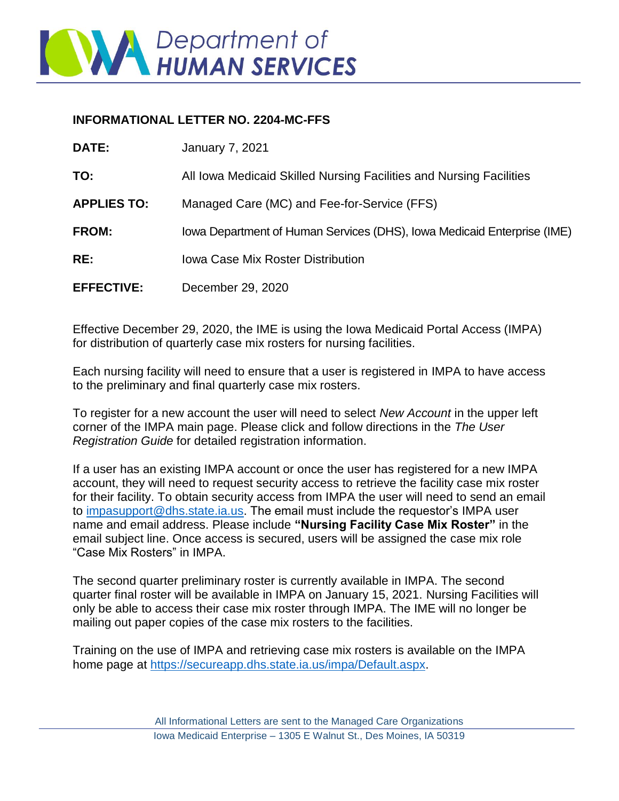

## **INFORMATIONAL LETTER NO. 2204-MC-FFS**

| <b>DATE:</b>       | <b>January 7, 2021</b>                                                  |
|--------------------|-------------------------------------------------------------------------|
| TO:                | All Iowa Medicaid Skilled Nursing Facilities and Nursing Facilities     |
| <b>APPLIES TO:</b> | Managed Care (MC) and Fee-for-Service (FFS)                             |
| <b>FROM:</b>       | Iowa Department of Human Services (DHS), Iowa Medicaid Enterprise (IME) |
| RE:                | <b>Iowa Case Mix Roster Distribution</b>                                |
| <b>EFFECTIVE:</b>  | December 29, 2020                                                       |

Effective December 29, 2020, the IME is using the Iowa Medicaid Portal Access (IMPA) for distribution of quarterly case mix rosters for nursing facilities.

Each nursing facility will need to ensure that a user is registered in IMPA to have access to the preliminary and final quarterly case mix rosters.

To register for a new account the user will need to select *New Account* in the upper left corner of the IMPA main page. Please click and follow directions in the *The User Registration Guide* for detailed registration information.

If a user has an existing IMPA account or once the user has registered for a new IMPA account, they will need to request security access to retrieve the facility case mix roster for their facility. To obtain security access from IMPA the user will need to send an email to [impasupport@dhs.state.ia.us.](mailto:impasupport@dhs.state.ia.us) The email must include the requestor's IMPA user name and email address. Please include **"Nursing Facility Case Mix Roster"** in the email subject line. Once access is secured, users will be assigned the case mix role "Case Mix Rosters" in IMPA.

The second quarter preliminary roster is currently available in IMPA. The second quarter final roster will be available in IMPA on January 15, 2021. Nursing Facilities will only be able to access their case mix roster through IMPA. The IME will no longer be mailing out paper copies of the case mix rosters to the facilities.

Training on the use of IMPA and retrieving case mix rosters is available on the IMPA home page at [https://secureapp.dhs.state.ia.us/impa/Default.aspx.](https://secureapp.dhs.state.ia.us/impa/Default.aspx)